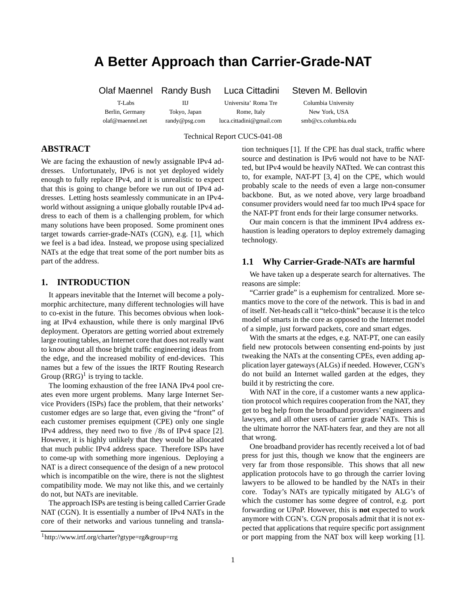# **A Better Approach than Carrier-Grade-NAT**

T-Labs IIJ Universita' Roma Tre Columbia University Berlin, Germany Tokyo, Japan Rome, Italy New York, USA

Olaf Maennel Randy Bush Luca Cittadini Steven M. Bellovin

olaf@maennel.net randy@psg.com luca.cittadini@gmail.com smb@cs.columbia.edu

Technical Report CUCS-041-08

# **ABSTRACT**

We are facing the exhaustion of newly assignable IPv4 addresses. Unfortunately, IPv6 is not yet deployed widely enough to fully replace IPv4, and it is unrealistic to expect that this is going to change before we run out of IPv4 addresses. Letting hosts seamlessly communicate in an IPv4 world without assigning a unique globally routable IPv4 address to each of them is a challenging problem, for which many solutions have been proposed. Some prominent ones target towards carrier-grade-NATs (CGN), e.g. [1], which we feel is a bad idea. Instead, we propose using specialized NATs at the edge that treat some of the port number bits as part of the address.

# **1. INTRODUCTION**

It appears inevitable that the Internet will become a polymorphic architecture, many different technologies will have to co-exist in the future. This becomes obvious when looking at IPv4 exhaustion, while there is only marginal IPv6 deployment. Operators are getting worried about extremely large routing tables, an Internet core that does not really want to know about all those bright traffic engineering ideas from the edge, and the increased mobility of end-devices. This names but a few of the issues the IRTF Routing Research Group  $(RRG)^1$  is trying to tackle.

The looming exhaustion of the free IANA IPv4 pool creates even more urgent problems. Many large Internet Service Providers (ISPs) face the problem, that their networks' customer edges are so large that, even giving the "front" of each customer premises equipment (CPE) only one single IPv4 address, they need two to five /8s of IPv4 space [2]. However, it is highly unlikely that they would be allocated that much public IPv4 address space. Therefore ISPs have to come-up with something more ingenious. Deploying a NAT is a direct consequence of the design of a new protocol which is incompatible on the wire, there is not the slightest compatibility mode. We may not like this, and we certainly do not, but NATs are inevitable.

The approach ISPs are testing is being called Carrier Grade NAT (CGN). It is essentially a number of IPv4 NATs in the core of their networks and various tunneling and translation techniques [1]. If the CPE has dual stack, traffic where source and destination is IPv6 would not have to be NATted, but IPv4 would be heavily NATted. We can contrast this to, for example, NAT-PT [3, 4] on the CPE, which would probably scale to the needs of even a large non-consumer backbone. But, as we noted above, very large broadband consumer providers would need far too much IPv4 space for the NAT-PT front ends for their large consumer networks.

Our main concern is that the imminent IPv4 address exhaustion is leading operators to deploy extremely damaging technology.

#### **1.1 Why Carrier-Grade-NATs are harmful**

We have taken up a desperate search for alternatives. The reasons are simple:

"Carrier grade" is a euphemism for centralized. More semantics move to the core of the network. This is bad in and of itself. Net-heads call it "telco-think" because it is the telco model of smarts in the core as opposed to the Internet model of a simple, just forward packets, core and smart edges.

With the smarts at the edges, e.g. NAT-PT, one can easily field new protocols between consenting end-points by just tweaking the NATs at the consenting CPEs, even adding application layer gateways (ALGs) if needed. However, CGN's do not build an Internet walled garden at the edges, they build it by restricting the core.

With NAT in the core, if a customer wants a new application protocol which requires cooperation from the NAT, they get to beg help from the broadband providers' engineers and lawyers, and all other users of carrier grade NATs. This is the ultimate horror the NAT-haters fear, and they are not all that wrong.

One broadband provider has recently received a lot of bad press for just this, though we know that the engineers are very far from those responsible. This shows that all new application protocols have to go through the carrier loving lawyers to be allowed to be handled by the NATs in their core. Today's NATs are typically mitigated by ALG's of which the customer has some degree of control, e.g. port forwarding or UPnP. However, this is **not** expected to work anymore with CGN's. CGN proposals admit that it is not expected that applications that require specific port assignment or port mapping from the NAT box will keep working [1].

<sup>1</sup>http://www.irtf.org/charter?gtype=rg&group=rrg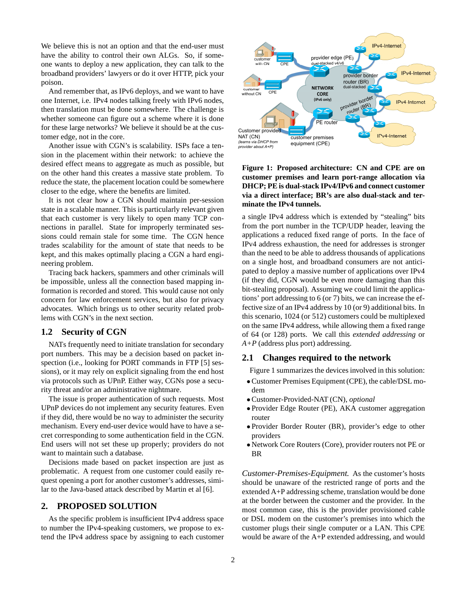We believe this is not an option and that the end-user must have the ability to control their own ALGs. So, if someone wants to deploy a new application, they can talk to the broadband providers' lawyers or do it over HTTP, pick your poison.

And remember that, as IPv6 deploys, and we want to have one Internet, i.e. IPv4 nodes talking freely with IPv6 nodes, then translation must be done somewhere. The challenge is whether someone can figure out a scheme where it is done for these large networks? We believe it should be at the customer edge, not in the core.

Another issue with CGN's is scalability. ISPs face a tension in the placement within their network: to achieve the desired effect means to aggregate as much as possible, but on the other hand this creates a massive state problem. To reduce the state, the placement location could be somewhere closer to the edge, where the benefits are limited.

It is not clear how a CGN should maintain per-session state in a scalable manner. This is particularly relevant given that each customer is very likely to open many TCP connections in parallel. State for improperly terminated sessions could remain stale for some time. The CGN hence trades scalability for the amount of state that needs to be kept, and this makes optimally placing a CGN a hard engineering problem.

Tracing back hackers, spammers and other criminals will be impossible, unless all the connection based mapping information is recorded and stored. This would cause not only concern for law enforcement services, but also for privacy advocates. Which brings us to other security related problems with CGN's in the next section.

#### **1.2 Security of CGN**

NATs frequently need to initiate translation for secondary port numbers. This may be a decision based on packet inspection (i.e., looking for PORT commands in FTP [5] sessions), or it may rely on explicit signaling from the end host via protocols such as UPnP. Either way, CGNs pose a security threat and/or an administrative nightmare.

The issue is proper authentication of such requests. Most UPnP devices do not implement any security features. Even if they did, there would be no way to administer the security mechanism. Every end-user device would have to have a secret corresponding to some authentication field in the CGN. End users will not set these up properly; providers do not want to maintain such a database.

Decisions made based on packet inspection are just as problematic. A request from one customer could easily request opening a port for another customer's addresses, similar to the Java-based attack described by Martin et al [6].

## **2. PROPOSED SOLUTION**

As the specific problem is insufficient IPv4 address space to number the IPv4-speaking customers, we propose to extend the IPv4 address space by assigning to each customer



**Figure 1: Proposed architecture: CN and CPE are on customer premises and learn port-range allocation via DHCP; PE is dual-stack IPv4/IPv6 and connect customer via a direct interface; BR's are also dual-stack and terminate the IPv4 tunnels.**

a single IPv4 address which is extended by "stealing" bits from the port number in the TCP/UDP header, leaving the applications a reduced fixed range of ports. In the face of IPv4 address exhaustion, the need for addresses is stronger than the need to be able to address thousands of applications on a single host, and broadband consumers are not anticipated to deploy a massive number of applications over IPv4 (if they did, CGN would be even more damaging than this bit-stealing proposal). Assuming we could limit the applications' port addressing to 6 (or 7) bits, we can increase the effective size of an IPv4 address by 10 (or 9) additional bits. In this scenario, 1024 (or 512) customers could be multiplexed on the same IPv4 address, while allowing them a fixed range of 64 (or 128) ports. We call this *extended addressing* or *A+P* (address plus port) addressing.

#### **2.1 Changes required to the network**

Figure 1 summarizes the devices involved in this solution:

- •Customer Premises Equipment (CPE), the cable/DSL modem
- •Customer-Provided-NAT (CN), *optional*
- Provider Edge Router (PE), AKA customer aggregation router
- Provider Border Router (BR), provider's edge to other providers
- Network Core Routers (Core), provider routers not PE or BR

*Customer-Premises-Equipment.* As the customer's hosts should be unaware of the restricted range of ports and the extended A+P addressing scheme, translation would be done at the border between the customer and the provider. In the most common case, this is the provider provisioned cable or DSL modem on the customer's premises into which the customer plugs their single computer or a LAN. This CPE would be aware of the A+P extended addressing, and would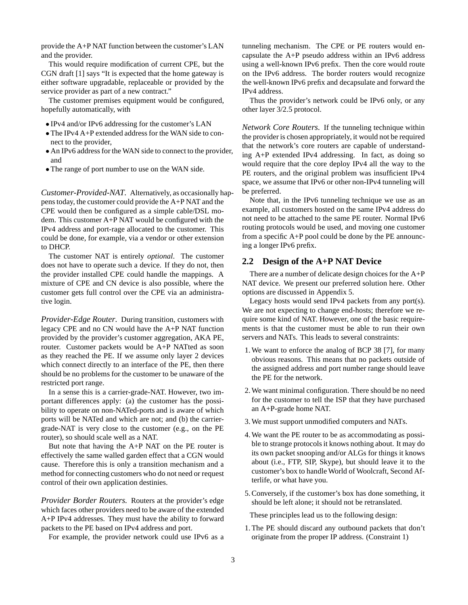provide the A+P NAT function between the customer's LAN and the provider.

This would require modification of current CPE, but the CGN draft [1] says "It is expected that the home gateway is either software upgradable, replaceable or provided by the service provider as part of a new contract."

The customer premises equipment would be configured, hopefully automatically, with

- IPv4 and/or IPv6 addressing for the customer's LAN
- The IPv4 A+P extended address for the WAN side to connect to the provider,
- An IPv6 address for the WAN side to connect to the provider, and
- The range of port number to use on the WAN side.

*Customer-Provided-NAT.* Alternatively, as occasionally happens today, the customer could provide the A+P NAT and the CPE would then be configured as a simple cable/DSL modem. This customer A+P NAT would be configured with the IPv4 address and port-rage allocated to the customer. This could be done, for example, via a vendor or other extension to DHCP.

The customer NAT is entirely *optional*. The customer does not have to operate such a device. If they do not, then the provider installed CPE could handle the mappings. A mixture of CPE and CN device is also possible, where the customer gets full control over the CPE via an administrative login.

*Provider-Edge Router.* During transition, customers with legacy CPE and no CN would have the A+P NAT function provided by the provider's customer aggregation, AKA PE, router. Customer packets would be A+P NATted as soon as they reached the PE. If we assume only layer 2 devices which connect directly to an interface of the PE, then there should be no problems for the customer to be unaware of the restricted port range.

In a sense this is a carrier-grade-NAT. However, two important differences apply: (a) the customer has the possibility to operate on non-NATed-ports and is aware of which ports will be NATed and which are not; and (b) the carriergrade-NAT is very close to the customer (e.g., on the PE router), so should scale well as a NAT.

But note that having the A+P NAT on the PE router is effectively the same walled garden effect that a CGN would cause. Therefore this is only a transition mechanism and a method for connecting customers who do not need or request control of their own application destinies.

*Provider Border Routers.* Routers at the provider's edge which faces other providers need to be aware of the extended A+P IPv4 addresses. They must have the ability to forward packets to the PE based on IPv4 address and port.

For example, the provider network could use IPv6 as a

tunneling mechanism. The CPE or PE routers would encapsulate the A+P pseudo address within an IPv6 address using a well-known IPv6 prefix. Then the core would route on the IPv6 address. The border routers would recognize the well-known IPv6 prefix and decapsulate and forward the IPv4 address.

Thus the provider's network could be IPv6 only, or any other layer 3/2.5 protocol.

*Network Core Routers.* If the tunneling technique within the provider is chosen appropriately, it would not be required that the network's core routers are capable of understanding A+P extended IPv4 addressing. In fact, as doing so would require that the core deploy IPv4 all the way to the PE routers, and the original problem was insufficient IPv4 space, we assume that IPv6 or other non-IPv4 tunneling will be preferred.

Note that, in the IPv6 tunneling technique we use as an example, all customers hosted on the same IPv4 address do not need to be attached to the same PE router. Normal IPv6 routing protocols would be used, and moving one customer from a specific A+P pool could be done by the PE announcing a longer IPv6 prefix.

#### **2.2 Design of the A+P NAT Device**

There are a number of delicate design choices for the A+P NAT device. We present our preferred solution here. Other options are discussed in Appendix 5.

Legacy hosts would send IPv4 packets from any port(s). We are not expecting to change end-hosts; therefore we require some kind of NAT. However, one of the basic requirements is that the customer must be able to run their own servers and NATs. This leads to several constraints:

- 1. We want to enforce the analog of BCP 38 [7], for many obvious reasons. This means that no packets outside of the assigned address and port number range should leave the PE for the network.
- 2. We want minimal configuration. There should be no need for the customer to tell the ISP that they have purchased an A+P-grade home NAT.
- 3. We must support unmodified computers and NATs.
- 4. We want the PE router to be as accommodating as possible to strange protocols it knows nothing about. It may do its own packet snooping and/or ALGs for things it knows about (i.e., FTP, SIP, Skype), but should leave it to the customer's box to handle World of Woolcraft, Second Afterlife, or what have you.
- 5. Conversely, if the customer's box has done something, it should be left alone; it should not be retranslated.

These principles lead us to the following design:

1. The PE should discard any outbound packets that don't originate from the proper IP address. (Constraint 1)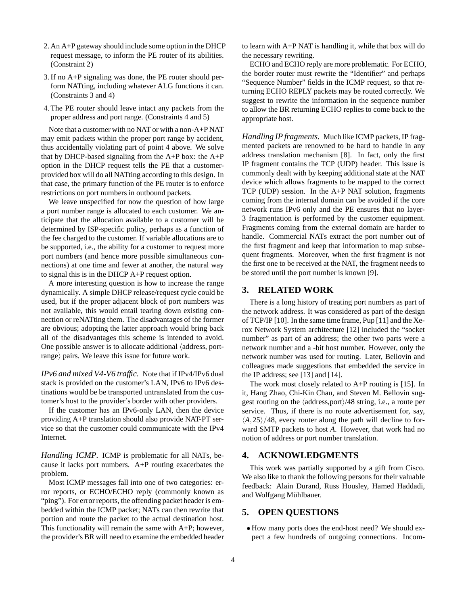- 2. An A+P gateway should include some option in the DHCP request message, to inform the PE router of its abilities. (Constraint 2)
- 3. If no A+P signaling was done, the PE router should perform NATting, including whatever ALG functions it can. (Constraints 3 and 4)
- 4. The PE router should leave intact any packets from the proper address and port range. (Constraints 4 and 5)

Note that a customer with no NAT or with a non-A+P NAT may emit packets within the proper port range by accident, thus accidentally violating part of point 4 above. We solve that by DHCP-based signaling from the A+P box: the A+P option in the DHCP request tells the PE that a customerprovided box will do all NATting according to this design. In that case, the primary function of the PE router is to enforce restrictions on port numbers in outbound packets.

We leave unspecified for now the question of how large a port number range is allocated to each customer. We anticipate that the allocation available to a customer will be determined by ISP-specific policy, perhaps as a function of the fee charged to the customer. If variable allocations are to be supported, i.e., the ability for a customer to request more port numbers (and hence more possible simultaneous connections) at one time and fewer at another, the natural way to signal this is in the DHCP A+P request option.

A more interesting question is how to increase the range dynamically. A simple DHCP release/request cycle could be used, but if the proper adjacent block of port numbers was not available, this would entail tearing down existing connection or reNATting them. The disadvantages of the former are obvious; adopting the latter approach would bring back all of the disadvantages this scheme is intended to avoid. One possible answer is to allocate additional  $\langle$  address, portrange) pairs. We leave this issue for future work.

*IPv6 and mixed V4-V6 traffic.* Note that if IPv4/IPv6 dual stack is provided on the customer's LAN, IPv6 to IPv6 destinations would be be transported untranslated from the customer's host to the provider's border with other providers.

If the customer has an IPv6-only LAN, then the device providing A+P translation should also provide NAT-PT service so that the customer could communicate with the IPv4 Internet.

*Handling ICMP.* ICMP is problematic for all NATs, because it lacks port numbers. A+P routing exacerbates the problem.

Most ICMP messages fall into one of two categories: error reports, or ECHO/ECHO reply (commonly known as "ping"). For error reports, the offending packet header is embedded within the ICMP packet; NATs can then rewrite that portion and route the packet to the actual destination host. This functionality will remain the same with A+P; however, the provider's BR will need to examine the embedded header to learn with A+P NAT is handling it, while that box will do the necessary rewriting.

ECHO and ECHO reply are more problematic. For ECHO, the border router must rewrite the "Identifier" and perhaps "Sequence Number" fields in the ICMP request, so that returning ECHO REPLY packets may be routed correctly. We suggest to rewrite the information in the sequence number to allow the BR returning ECHO replies to come back to the appropriate host.

*Handling IP fragments.* Much like ICMP packets, IP fragmented packets are renowned to be hard to handle in any address translation mechanism [8]. In fact, only the first IP fragment contains the TCP (UDP) header. This issue is commonly dealt with by keeping additional state at the NAT device which allows fragments to be mapped to the correct  $TCP (UDP) session. In the A+P NAT solution, fragments$ coming from the internal domain can be avoided if the core network runs IPv6 only and the PE ensures that no layer-3 fragmentation is performed by the customer equipment. Fragments coming from the external domain are harder to handle. Commercial NATs extract the port number out of the first fragment and keep that information to map subsequent fragments. Moreover, when the first fragment is not the first one to be received at the NAT, the fragment needs to be stored until the port number is known [9].

## **3. RELATED WORK**

There is a long history of treating port numbers as part of the network address. It was considered as part of the design of TCP/IP [10]. In the same time frame, Pup [11] and the Xerox Network System architecture [12] included the "socket number" as part of an address; the other two parts were a network number and a -bit host number. However, only the network number was used for routing. Later, Bellovin and colleagues made suggestions that embedded the service in the IP address; see [13] and [14].

The work most closely related to  $A+P$  routing is [15]. In it, Hang Zhao, Chi-Kin Chau, and Steven M. Bellovin suggest routing on the  $\langle$ address,port $\rangle$ /48 string, i.e., a route per service. Thus, if there is no route advertisement for, say,  $\langle A, 25 \rangle / 48$ , every router along the path will decline to forward SMTP packets to host *A*. However, that work had no notion of address or port number translation.

## **4. ACKNOWLEDGMENTS**

This work was partially supported by a gift from Cisco. We also like to thank the following persons for their valuable feedback: Alain Durand, Russ Housley, Hamed Haddadi, and Wolfgang Mühlbauer.

## **5. OPEN QUESTIONS**

• How many ports does the end-host need? We should expect a few hundreds of outgoing connections. Incom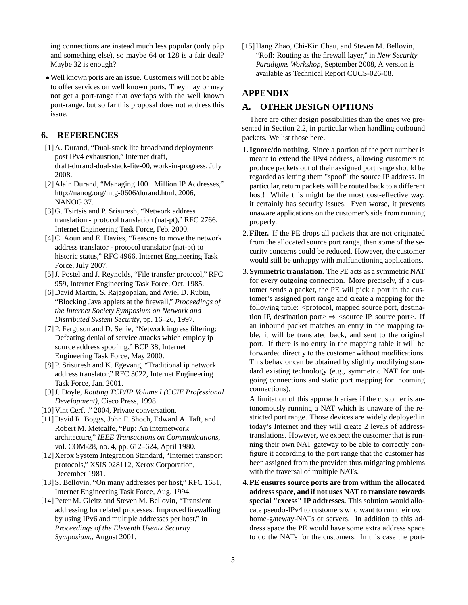ing connections are instead much less popular (only p2p and something else), so maybe 64 or 128 is a fair deal? Maybe 32 is enough?

•Well known ports are an issue. Customers will not be able to offer services on well known ports. They may or may not get a port-range that overlaps with the well known port-range, but so far this proposal does not address this issue.

# **6. REFERENCES**

- [1] A. Durand, "Dual-stack lite broadband deployments post IPv4 exhaustion," Internet draft, draft-durand-dual-stack-lite-00, work-in-progress, July 2008.
- [2] Alain Durand, "Managing 100+ Million IP Addresses," http://nanog.org/mtg-0606/durand.html, 2006, NANOG 37.
- [3] G. Tsirtsis and P. Srisuresh, "Network address translation - protocol translation (nat-pt)," RFC 2766, Internet Engineering Task Force, Feb. 2000.
- [4] C. Aoun and E. Davies, "Reasons to move the network address translator - protocol translator (nat-pt) to historic status," RFC 4966, Internet Engineering Task Force, July 2007.
- [5] J. Postel and J. Reynolds, "File transfer protocol," RFC 959, Internet Engineering Task Force, Oct. 1985.
- [6] David Martin, S. Rajagopalan, and Aviel D. Rubin, "Blocking Java applets at the firewall," *Proceedings of the Internet Society Symposium on Network and Distributed System Security*, pp. 16–26, 1997.
- [7] P. Ferguson and D. Senie, "Network ingress filtering: Defeating denial of service attacks which employ ip source address spoofing," BCP 38, Internet Engineering Task Force, May 2000.
- [8] P. Srisuresh and K. Egevang, "Traditional ip network address translator," RFC 3022, Internet Engineering Task Force, Jan. 2001.
- [9] J. Doyle, *Routing TCP/IP Volume I (CCIE Professional Development)*, Cisco Press, 1998.
- [10] Vint Cerf, ," 2004, Private conversation.
- [11] David R. Boggs, John F. Shoch, Edward A. Taft, and Robert M. Metcalfe, "Pup: An internetwork architecture," *IEEE Transactions on Communications*, vol. COM-28, no. 4, pp. 612–624, April 1980.
- [12] Xerox System Integration Standard, "Internet transport protocols," XSIS 028112, Xerox Corporation, December 1981.
- [13] S. Bellovin, "On many addresses per host," RFC 1681, Internet Engineering Task Force, Aug. 1994.
- [14] Peter M. Gleitz and Steven M. Bellovin, "Transient addressing for related processes: Improved firewalling by using IPv6 and multiple addresses per host," in *Proceedings of the Eleventh Usenix Security Symposium,*, August 2001.

[15] Hang Zhao, Chi-Kin Chau, and Steven M. Bellovin, "Rofl: Routing as the firewall layer," in *New Security Paradigms Workshop*, September 2008, A version is available as Technical Report CUCS-026-08.

# **APPENDIX**

## **A. OTHER DESIGN OPTIONS**

There are other design possibilities than the ones we presented in Section 2.2, in particular when handling outbound packets. We list those here.

- 1.**Ignore/do nothing.** Since a portion of the port number is meant to extend the IPv4 address, allowing customers to produce packets out of their assigned port range should be regarded as letting them "spoof" the source IP address. In particular, return packets will be routed back to a different host! While this might be the most cost-effective way, it certainly has security issues. Even worse, it prevents unaware applications on the customer's side from running properly.
- 2.**Filter.** If the PE drops all packets that are not originated from the allocated source port range, then some of the security concerns could be reduced. However, the customer would still be unhappy with malfunctioning applications.
- 3.**Symmetric translation.** The PE acts as a symmetric NAT for every outgoing connection. More precisely, if a customer sends a packet, the PE will pick a port in the customer's assigned port range and create a mapping for the following tuple: <protocol, mapped source port, destination IP, destination port $\Rightarrow \leq$ source IP, source port $\geq$ . If an inbound packet matches an entry in the mapping table, it will be translated back, and sent to the original port. If there is no entry in the mapping table it will be forwarded directly to the customer without modifications. This behavior can be obtained by slightly modifying standard existing technology (e.g., symmetric NAT for outgoing connections and static port mapping for incoming connections).

A limitation of this approach arises if the customer is autonomously running a NAT which is unaware of the restricted port range. Those devices are widely deployed in today's Internet and they will create 2 levels of addresstranslations. However, we expect the customer that is running their own NAT gateway to be able to correctly configure it according to the port range that the customer has been assigned from the provider, thus mitigating problems with the traversal of multiple NATs.

4.**PE ensures source ports are from within the allocated address space, and if not uses NAT to translate towards special "excess" IP addresses.** This solution would allocate pseudo-IPv4 to customers who want to run their own home-gateway-NATs or servers. In addition to this address space the PE would have some extra address space to do the NATs for the customers. In this case the port